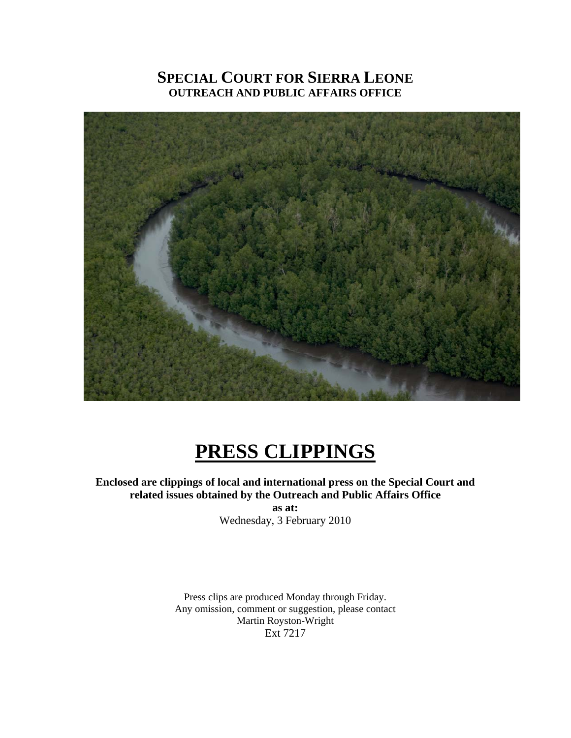## **SPECIAL COURT FOR SIERRA LEONE OUTREACH AND PUBLIC AFFAIRS OFFICE**



# **PRESS CLIPPINGS**

**Enclosed are clippings of local and international press on the Special Court and related issues obtained by the Outreach and Public Affairs Office** 

**as at:**  Wednesday, 3 February 2010

Press clips are produced Monday through Friday. Any omission, comment or suggestion, please contact Martin Royston-Wright Ext 7217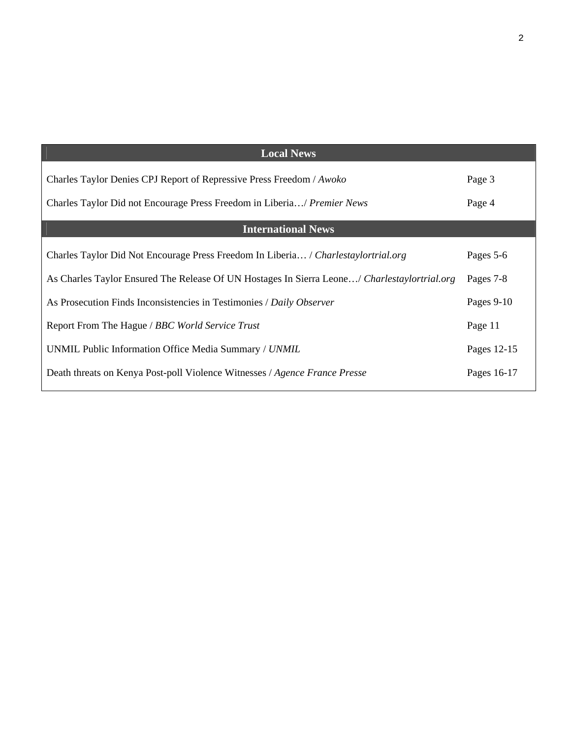| <b>Local News</b>                                                                            |             |
|----------------------------------------------------------------------------------------------|-------------|
| Charles Taylor Denies CPJ Report of Repressive Press Freedom / Awoko                         | Page 3      |
| Charles Taylor Did not Encourage Press Freedom in Liberia/ Premier News                      | Page 4      |
| <b>International News</b>                                                                    |             |
| Charles Taylor Did Not Encourage Press Freedom In Liberia / Charlestaylortrial.org           | Pages 5-6   |
| As Charles Taylor Ensured The Release Of UN Hostages In Sierra Leone/ Charlestaylortrial.org | Pages 7-8   |
| As Prosecution Finds Inconsistencies in Testimonies / Daily Observer                         | Pages 9-10  |
| Report From The Hague / BBC World Service Trust                                              | Page 11     |
| UNMIL Public Information Office Media Summary / UNMIL                                        | Pages 12-15 |
| Death threats on Kenya Post-poll Violence Witnesses / Agence France Presse                   | Pages 16-17 |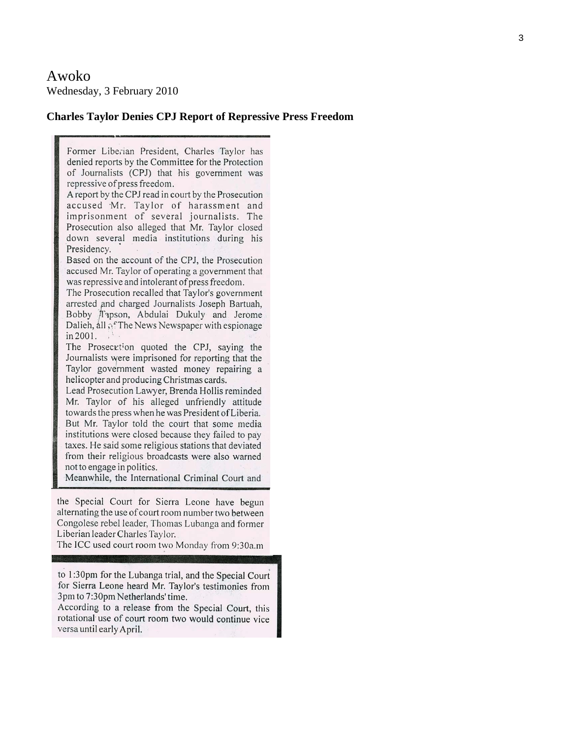Awoko Wednesday, 3 February 2010

#### **Charles Taylor Denies CPJ Report of Repressive Press Freedom**

Former Liberian President, Charles Taylor has denied reports by the Committee for the Protection of Journalists (CPJ) that his government was repressive of press freedom.

A report by the CPJ read in court by the Prosecution accused Mr. Taylor of harassment and imprisonment of several journalists. The Prosecution also alleged that Mr. Taylor closed down several media institutions during his Presidency.

Based on the account of the CPJ, the Prosecution accused Mr. Taylor of operating a government that was repressive and intolerant of press freedom.

The Prosecution recalled that Taylor's government arrested and charged Journalists Joseph Bartuah, Bobby Tapson, Abdulai Dukuly and Jerome Dalieh, all of The News Newspaper with espionage in 2001.

The Prosecution quoted the CPJ, saying the Journalists were imprisoned for reporting that the Taylor government wasted money repairing a helicopter and producing Christmas cards.

Lead Prosecution Lawyer, Brenda Hollis reminded Mr. Taylor of his alleged unfriendly attitude towards the press when he was President of Liberia. But Mr. Taylor told the court that some media institutions were closed because they failed to pay taxes. He said some religious stations that deviated from their religious broadcasts were also warned not to engage in politics.

Meanwhile, the International Criminal Court and

the Special Court for Sierra Leone have begun alternating the use of court room number two between Congolese rebel leader, Thomas Lubanga and former Liberian leader Charles Taylor.

The ICC used court room two Monday from 9:30a.m

to 1:30pm for the Lubanga trial, and the Special Court for Sierra Leone heard Mr. Taylor's testimonies from 3pm to 7:30pm Netherlands' time.

According to a release from the Special Court, this rotational use of court room two would continue vice versa until early April.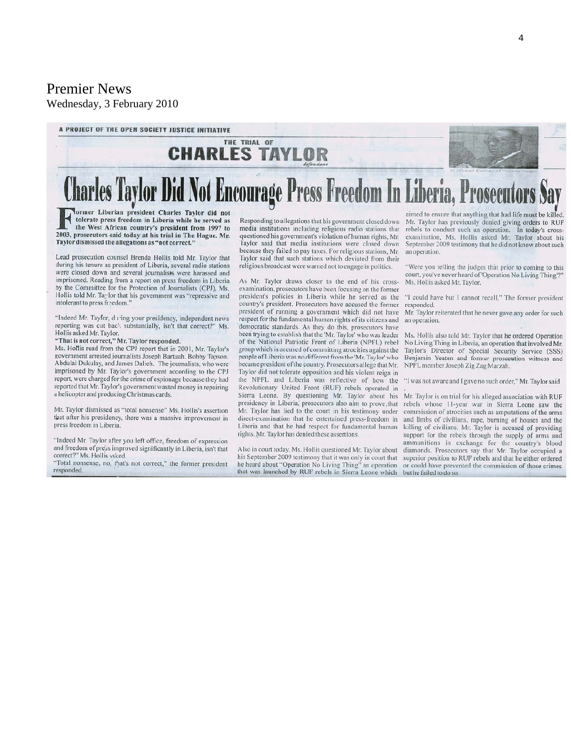## Premier News Wednesday, 3 February 2010



tolerate press freedom in Liberia while he served as the West African country's president from 1997 to 2003, prosecutors said today at his trial in The Hague. Mr. Taylor dismissed the allegations as "not correct."

Lead prosecution counsel Brenda Hollis told Mr. Taylor that during his tenure as president of Liberia, several radio stations were closed down and several journalists were harassed and imprisoned. Reading from a report on press freedom in Liberia by the Committee for the Protection of Journalists (CPJ), Ms. Hollis told Mr. Taylor that his government was "repressive and intolerant to press freedom."

"Indeed Mr. Taylor, during your presidency, independent news reporting was cut back substantially, isn't that correct?" Ms. Hollis asked Mr. Taylor.

"That is not correct," Mr. Taylor responded.

Ms. Hollis read from the CPJ report that in 2001, Mr. Taylor's government arrested journalists Joseph Bartuah, Bobby Tapson. Abdulai Dukulay, and James Dalieh. The journalists, who were imprisoned by Mr. Taylor's government according to the CPJ report, were charged for the crime of espionage because they had reported that Mr. Taylor's government wasted money in repairing a helicopter and producing Christmas cards.

Mr. Taylor dismissed as "total nonsense" Ms. Hollis's assertion that after his presidency, there was a massive improvement in press freedom in Liberia.

"Indeed Mr. Taylor after you left office, freedom of expression and freedom of preas improved significantly in Liberia, isn't that correct?" Ms. Hollis asked.

"Total nonsense, no, that's not correct," the former president responded.

Responding to allegations that his government closed down media institutions including religious radio stations that questioned his government's violation of human rights, Mr. Taylor said that media institutions were closed down because they failed to pay taxes. For religious stations, Mr. Taylor said that such stations which deviated from their religious broadcast were warned not to engage in politics.

As Mr. Taylor draws closer to the end of his crossexamination, prosecutors have been focusing on the former president's policies in Liberia while he served as the country's president. Prosecutors have accused the former president of running a government which did not have respect for the fundamental human rights of its citizens and democratic standards. As they do this, prosecutors have been trying to establish that the 'Mr. Taylor' who was leader of the National Patriotic Front of Liberia (NPFL) rebel group which is accused of committing atrocities against the people of Liberia was no different from the 'Mr. Taylor' who became president of the country. Prosecutors allege that Mr. Taylor did not tolerate opposition and his violent reign in the NPFL and Liberia was reflective of how the Revolutionary United Front (RUF) rebels operated in Sierra Leone. By questioning Mr. Taylor about his presidency in Liberia, prosecutors also aim to prove, that Mr. Taylor has lied to the court in his testimony under direct-examination that he entertained press-freedom in Liberia and that he had respect for fundamental human rights. Mr. Taylor has denied these assertions.

Also in court today, Ms. Hollis questioned Mr. Taylor about his September 2009 testimony that it was only in court that he heard about "Operation No Living Thing" an operation that was launched by RUF rebels in Sierra Leone which

aimed to ensure that anything that had life must be killed. Mr. Taylor has previously denied giving orders to RUF rebels to conduct such an operation. In today's cross-<br>examination, Ms. Hollis asked Mr. Taylor about his September 2009 testimony that he did not know about such an operation.

Were you telling the judges that prior to coming to this court, you've never heard of 'Operation No Living Thing'?' Ms. Hollis asked Mr. Taylor.

"I could have but I cannot recall," The former president responded.

Mr. Taylor reiterated that he never gave any order for such an operation.

Ms. Hollis also told Mr. Taylor that he ordered Operation No Living Thing in Liberia, an operation that involved Mr. Taylor's Director of Special Security Service (SSS) Benjamin Yeaten and former prosecution witness and NPFL member Joseph Zig Zag Marzah.

"I was not aware and I gave no such order," Mr. Taylor said

Mr. Taylor is on trial for his alleged association with RUF rebels whose 11-year war in Sierra Leone saw the commission of atrocities such as amputations of the arms and limbs of civilians, rape, burning of houses and the killing of civilians. Mr. Taylor is accused of providing support for the rebels through the supply of arms and ammunitions in exchange for the country's blood diamonds. Prosecutors say that Mr. Taylor occupied a superior position to RUF rebels and that he either ordered or could have prevented the commission of those crimes but he failed to do so.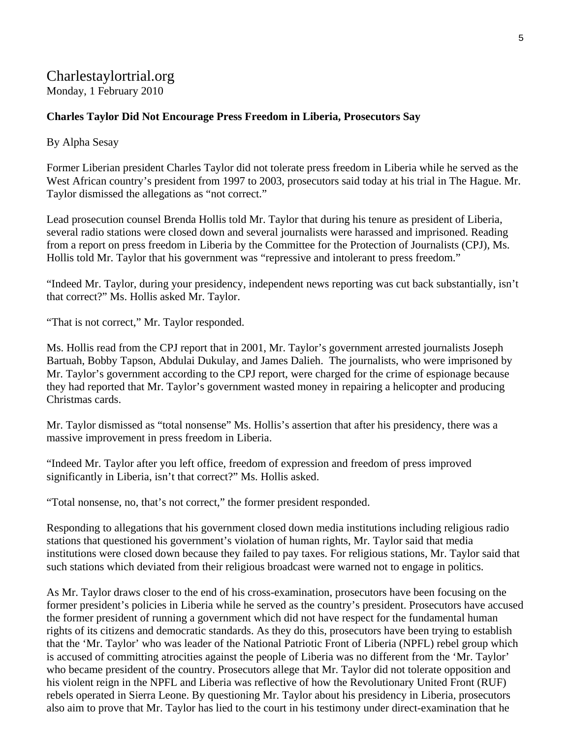## Charlestaylortrial.org Monday, 1 February 2010

## **Charles Taylor Did Not Encourage Press Freedom in Liberia, Prosecutors Say**

By Alpha Sesay

Former Liberian president Charles Taylor did not tolerate press freedom in Liberia while he served as the West African country's president from 1997 to 2003, prosecutors said today at his trial in The Hague. Mr. Taylor dismissed the allegations as "not correct."

Lead prosecution counsel Brenda Hollis told Mr. Taylor that during his tenure as president of Liberia, several radio stations were closed down and several journalists were harassed and imprisoned. Reading from a report on press freedom in Liberia by the Committee for the Protection of Journalists (CPJ), Ms. Hollis told Mr. Taylor that his government was "repressive and intolerant to press freedom."

"Indeed Mr. Taylor, during your presidency, independent news reporting was cut back substantially, isn't that correct?" Ms. Hollis asked Mr. Taylor.

"That is not correct," Mr. Taylor responded.

Ms. Hollis read from the CPJ report that in 2001, Mr. Taylor's government arrested journalists Joseph Bartuah, Bobby Tapson, Abdulai Dukulay, and James Dalieh. The journalists, who were imprisoned by Mr. Taylor's government according to the CPJ report, were charged for the crime of espionage because they had reported that Mr. Taylor's government wasted money in repairing a helicopter and producing Christmas cards.

Mr. Taylor dismissed as "total nonsense" Ms. Hollis's assertion that after his presidency, there was a massive improvement in press freedom in Liberia.

"Indeed Mr. Taylor after you left office, freedom of expression and freedom of press improved significantly in Liberia, isn't that correct?" Ms. Hollis asked.

"Total nonsense, no, that's not correct," the former president responded.

Responding to allegations that his government closed down media institutions including religious radio stations that questioned his government's violation of human rights, Mr. Taylor said that media institutions were closed down because they failed to pay taxes. For religious stations, Mr. Taylor said that such stations which deviated from their religious broadcast were warned not to engage in politics.

As Mr. Taylor draws closer to the end of his cross-examination, prosecutors have been focusing on the former president's policies in Liberia while he served as the country's president. Prosecutors have accused the former president of running a government which did not have respect for the fundamental human rights of its citizens and democratic standards. As they do this, prosecutors have been trying to establish that the 'Mr. Taylor' who was leader of the National Patriotic Front of Liberia (NPFL) rebel group which is accused of committing atrocities against the people of Liberia was no different from the 'Mr. Taylor' who became president of the country. Prosecutors allege that Mr. Taylor did not tolerate opposition and his violent reign in the NPFL and Liberia was reflective of how the Revolutionary United Front (RUF) rebels operated in Sierra Leone. By questioning Mr. Taylor about his presidency in Liberia, prosecutors also aim to prove that Mr. Taylor has lied to the court in his testimony under direct-examination that he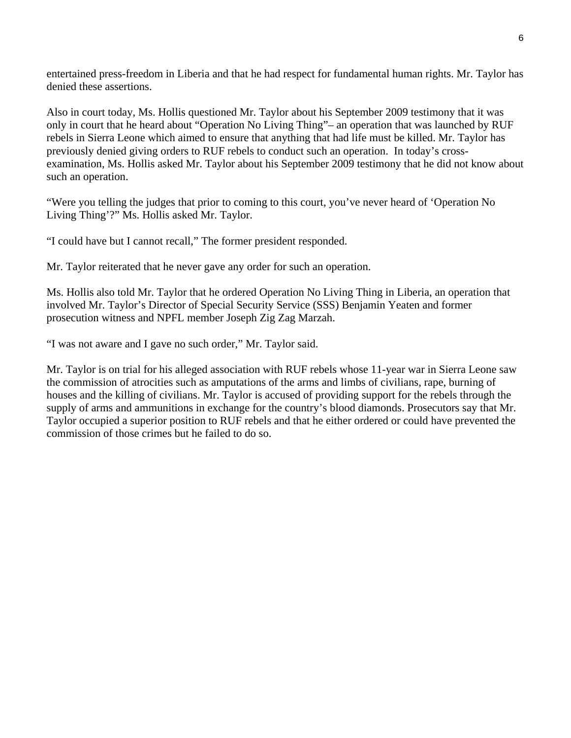entertained press-freedom in Liberia and that he had respect for fundamental human rights. Mr. Taylor has denied these assertions.

Also in court today, Ms. Hollis questioned Mr. Taylor about his September 2009 testimony that it was only in court that he heard about "Operation No Living Thing"– an operation that was launched by RUF rebels in Sierra Leone which aimed to ensure that anything that had life must be killed. Mr. Taylor has previously denied giving orders to RUF rebels to conduct such an operation. In today's crossexamination, Ms. Hollis asked Mr. Taylor about his September 2009 testimony that he did not know about such an operation.

"Were you telling the judges that prior to coming to this court, you've never heard of 'Operation No Living Thing'?" Ms. Hollis asked Mr. Taylor.

"I could have but I cannot recall," The former president responded.

Mr. Taylor reiterated that he never gave any order for such an operation.

Ms. Hollis also told Mr. Taylor that he ordered Operation No Living Thing in Liberia, an operation that involved Mr. Taylor's Director of Special Security Service (SSS) Benjamin Yeaten and former prosecution witness and NPFL member Joseph Zig Zag Marzah.

"I was not aware and I gave no such order," Mr. Taylor said.

Mr. Taylor is on trial for his alleged association with RUF rebels whose 11-year war in Sierra Leone saw the commission of atrocities such as amputations of the arms and limbs of civilians, rape, burning of houses and the killing of civilians. Mr. Taylor is accused of providing support for the rebels through the supply of arms and ammunitions in exchange for the country's blood diamonds. Prosecutors say that Mr. Taylor occupied a superior position to RUF rebels and that he either ordered or could have prevented the commission of those crimes but he failed to do so.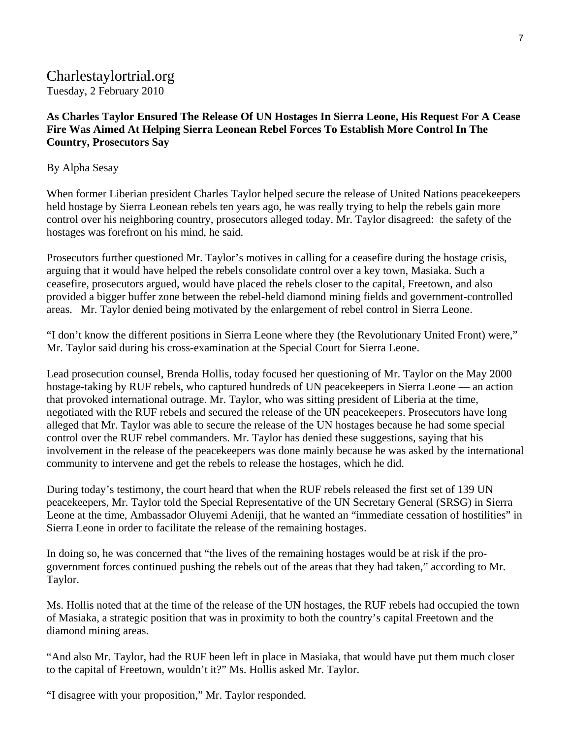## Charlestaylortrial.org Tuesday, 2 February 2010

**As Charles Taylor Ensured The Release Of UN Hostages In Sierra Leone, His Request For A Cease Fire Was Aimed At Helping Sierra Leonean Rebel Forces To Establish More Control In The Country, Prosecutors Say** 

## By Alpha Sesay

When former Liberian president Charles Taylor helped secure the release of United Nations peacekeepers held hostage by Sierra Leonean rebels ten years ago, he was really trying to help the rebels gain more control over his neighboring country, prosecutors alleged today. Mr. Taylor disagreed: the safety of the hostages was forefront on his mind, he said.

Prosecutors further questioned Mr. Taylor's motives in calling for a ceasefire during the hostage crisis, arguing that it would have helped the rebels consolidate control over a key town, Masiaka. Such a ceasefire, prosecutors argued, would have placed the rebels closer to the capital, Freetown, and also provided a bigger buffer zone between the rebel-held diamond mining fields and government-controlled areas. Mr. Taylor denied being motivated by the enlargement of rebel control in Sierra Leone.

"I don't know the different positions in Sierra Leone where they (the Revolutionary United Front) were," Mr. Taylor said during his cross-examination at the Special Court for Sierra Leone.

Lead prosecution counsel, Brenda Hollis, today focused her questioning of Mr. Taylor on the May 2000 hostage-taking by RUF rebels, who captured hundreds of UN peacekeepers in Sierra Leone — an action that provoked international outrage. Mr. Taylor, who was sitting president of Liberia at the time, negotiated with the RUF rebels and secured the release of the UN peacekeepers. Prosecutors have long alleged that Mr. Taylor was able to secure the release of the UN hostages because he had some special control over the RUF rebel commanders. Mr. Taylor has denied these suggestions, saying that his involvement in the release of the peacekeepers was done mainly because he was asked by the international community to intervene and get the rebels to release the hostages, which he did.

During today's testimony, the court heard that when the RUF rebels released the first set of 139 UN peacekeepers, Mr. Taylor told the Special Representative of the UN Secretary General (SRSG) in Sierra Leone at the time, Ambassador Oluyemi Adeniji, that he wanted an "immediate cessation of hostilities" in Sierra Leone in order to facilitate the release of the remaining hostages.

In doing so, he was concerned that "the lives of the remaining hostages would be at risk if the progovernment forces continued pushing the rebels out of the areas that they had taken," according to Mr. Taylor.

Ms. Hollis noted that at the time of the release of the UN hostages, the RUF rebels had occupied the town of Masiaka, a strategic position that was in proximity to both the country's capital Freetown and the diamond mining areas.

"And also Mr. Taylor, had the RUF been left in place in Masiaka, that would have put them much closer to the capital of Freetown, wouldn't it?" Ms. Hollis asked Mr. Taylor.

"I disagree with your proposition," Mr. Taylor responded.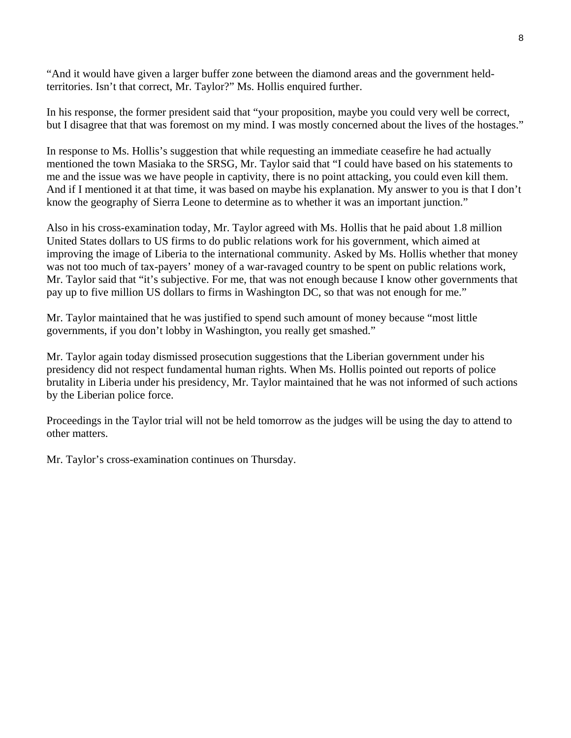"And it would have given a larger buffer zone between the diamond areas and the government heldterritories. Isn't that correct, Mr. Taylor?" Ms. Hollis enquired further.

In his response, the former president said that "your proposition, maybe you could very well be correct, but I disagree that that was foremost on my mind. I was mostly concerned about the lives of the hostages."

In response to Ms. Hollis's suggestion that while requesting an immediate ceasefire he had actually mentioned the town Masiaka to the SRSG, Mr. Taylor said that "I could have based on his statements to me and the issue was we have people in captivity, there is no point attacking, you could even kill them. And if I mentioned it at that time, it was based on maybe his explanation. My answer to you is that I don't know the geography of Sierra Leone to determine as to whether it was an important junction."

Also in his cross-examination today, Mr. Taylor agreed with Ms. Hollis that he paid about 1.8 million United States dollars to US firms to do public relations work for his government, which aimed at improving the image of Liberia to the international community. Asked by Ms. Hollis whether that money was not too much of tax-payers' money of a war-ravaged country to be spent on public relations work, Mr. Taylor said that "it's subjective. For me, that was not enough because I know other governments that pay up to five million US dollars to firms in Washington DC, so that was not enough for me."

Mr. Taylor maintained that he was justified to spend such amount of money because "most little governments, if you don't lobby in Washington, you really get smashed."

Mr. Taylor again today dismissed prosecution suggestions that the Liberian government under his presidency did not respect fundamental human rights. When Ms. Hollis pointed out reports of police brutality in Liberia under his presidency, Mr. Taylor maintained that he was not informed of such actions by the Liberian police force.

Proceedings in the Taylor trial will not be held tomorrow as the judges will be using the day to attend to other matters.

Mr. Taylor's cross-examination continues on Thursday.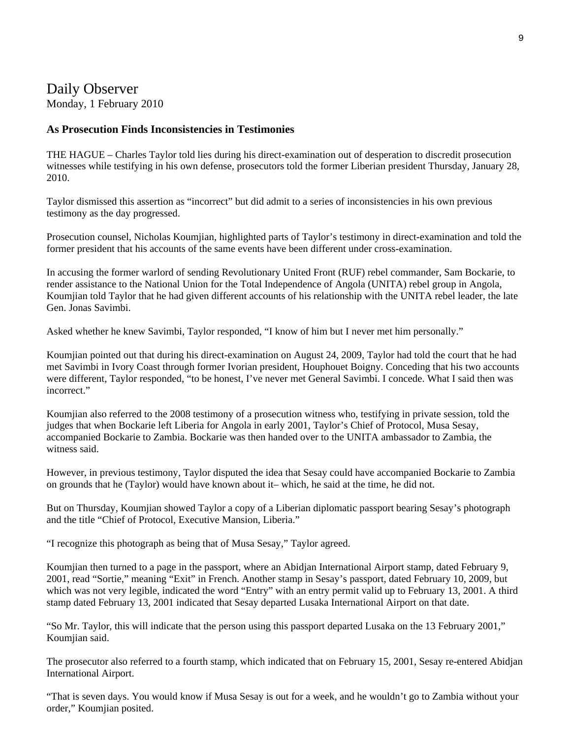## Daily Observer Monday, 1 February 2010

#### **As Prosecution Finds Inconsistencies in Testimonies**

THE HAGUE – Charles Taylor told lies during his direct-examination out of desperation to discredit prosecution witnesses while testifying in his own defense, prosecutors told the former Liberian president Thursday, January 28, 2010.

Taylor dismissed this assertion as "incorrect" but did admit to a series of inconsistencies in his own previous testimony as the day progressed.

Prosecution counsel, Nicholas Koumjian, highlighted parts of Taylor's testimony in direct-examination and told the former president that his accounts of the same events have been different under cross-examination.

In accusing the former warlord of sending Revolutionary United Front (RUF) rebel commander, Sam Bockarie, to render assistance to the National Union for the Total Independence of Angola (UNITA) rebel group in Angola, Koumjian told Taylor that he had given different accounts of his relationship with the UNITA rebel leader, the late Gen. Jonas Savimbi.

Asked whether he knew Savimbi, Taylor responded, "I know of him but I never met him personally."

Koumjian pointed out that during his direct-examination on August 24, 2009, Taylor had told the court that he had met Savimbi in Ivory Coast through former Ivorian president, Houphouet Boigny. Conceding that his two accounts were different, Taylor responded, "to be honest, I've never met General Savimbi. I concede. What I said then was incorrect."

Koumjian also referred to the 2008 testimony of a prosecution witness who, testifying in private session, told the judges that when Bockarie left Liberia for Angola in early 2001, Taylor's Chief of Protocol, Musa Sesay, accompanied Bockarie to Zambia. Bockarie was then handed over to the UNITA ambassador to Zambia, the witness said.

However, in previous testimony, Taylor disputed the idea that Sesay could have accompanied Bockarie to Zambia on grounds that he (Taylor) would have known about it– which, he said at the time, he did not.

But on Thursday, Koumjian showed Taylor a copy of a Liberian diplomatic passport bearing Sesay's photograph and the title "Chief of Protocol, Executive Mansion, Liberia."

"I recognize this photograph as being that of Musa Sesay," Taylor agreed.

Koumjian then turned to a page in the passport, where an Abidjan International Airport stamp, dated February 9, 2001, read "Sortie," meaning "Exit" in French. Another stamp in Sesay's passport, dated February 10, 2009, but which was not very legible, indicated the word "Entry" with an entry permit valid up to February 13, 2001. A third stamp dated February 13, 2001 indicated that Sesay departed Lusaka International Airport on that date.

"So Mr. Taylor, this will indicate that the person using this passport departed Lusaka on the 13 February 2001," Koumjian said.

The prosecutor also referred to a fourth stamp, which indicated that on February 15, 2001, Sesay re-entered Abidjan International Airport.

"That is seven days. You would know if Musa Sesay is out for a week, and he wouldn't go to Zambia without your order," Koumjian posited.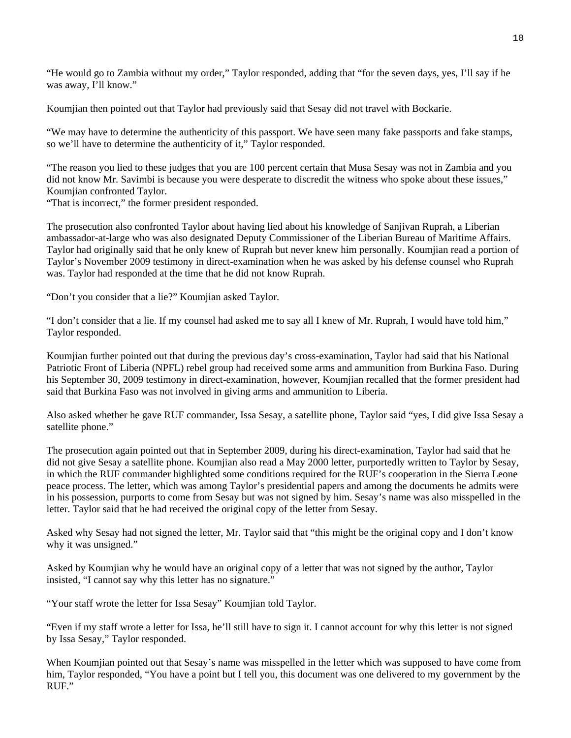"He would go to Zambia without my order," Taylor responded, adding that "for the seven days, yes, I'll say if he was away, I'll know."

Koumjian then pointed out that Taylor had previously said that Sesay did not travel with Bockarie.

"We may have to determine the authenticity of this passport. We have seen many fake passports and fake stamps, so we'll have to determine the authenticity of it," Taylor responded.

"The reason you lied to these judges that you are 100 percent certain that Musa Sesay was not in Zambia and you did not know Mr. Savimbi is because you were desperate to discredit the witness who spoke about these issues," Koumjian confronted Taylor.

"That is incorrect," the former president responded.

The prosecution also confronted Taylor about having lied about his knowledge of Sanjivan Ruprah, a Liberian ambassador-at-large who was also designated Deputy Commissioner of the Liberian Bureau of Maritime Affairs. Taylor had originally said that he only knew of Ruprah but never knew him personally. Koumjian read a portion of Taylor's November 2009 testimony in direct-examination when he was asked by his defense counsel who Ruprah was. Taylor had responded at the time that he did not know Ruprah.

"Don't you consider that a lie?" Koumjian asked Taylor.

"I don't consider that a lie. If my counsel had asked me to say all I knew of Mr. Ruprah, I would have told him," Taylor responded.

Koumjian further pointed out that during the previous day's cross-examination, Taylor had said that his National Patriotic Front of Liberia (NPFL) rebel group had received some arms and ammunition from Burkina Faso. During his September 30, 2009 testimony in direct-examination, however, Koumjian recalled that the former president had said that Burkina Faso was not involved in giving arms and ammunition to Liberia.

Also asked whether he gave RUF commander, Issa Sesay, a satellite phone, Taylor said "yes, I did give Issa Sesay a satellite phone."

The prosecution again pointed out that in September 2009, during his direct-examination, Taylor had said that he did not give Sesay a satellite phone. Koumjian also read a May 2000 letter, purportedly written to Taylor by Sesay, in which the RUF commander highlighted some conditions required for the RUF's cooperation in the Sierra Leone peace process. The letter, which was among Taylor's presidential papers and among the documents he admits were in his possession, purports to come from Sesay but was not signed by him. Sesay's name was also misspelled in the letter. Taylor said that he had received the original copy of the letter from Sesay.

Asked why Sesay had not signed the letter, Mr. Taylor said that "this might be the original copy and I don't know why it was unsigned."

Asked by Koumjian why he would have an original copy of a letter that was not signed by the author, Taylor insisted, "I cannot say why this letter has no signature."

"Your staff wrote the letter for Issa Sesay" Koumjian told Taylor.

"Even if my staff wrote a letter for Issa, he'll still have to sign it. I cannot account for why this letter is not signed by Issa Sesay," Taylor responded.

When Koumjian pointed out that Sesay's name was misspelled in the letter which was supposed to have come from him, Taylor responded, "You have a point but I tell you, this document was one delivered to my government by the RUF."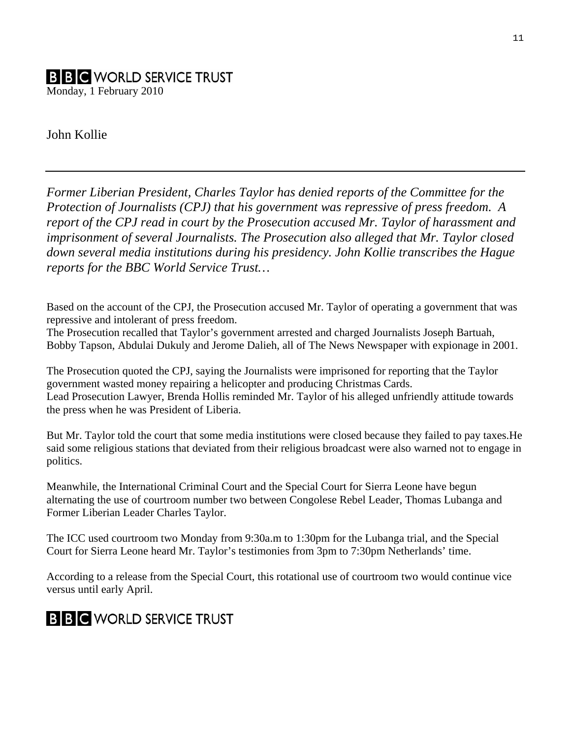## **B B C** WORLD SERVICE TRUST Monday, 1 February 2010

John Kollie

*Former Liberian President, Charles Taylor has denied reports of the Committee for the Protection of Journalists (CPJ) that his government was repressive of press freedom. A report of the CPJ read in court by the Prosecution accused Mr. Taylor of harassment and imprisonment of several Journalists. The Prosecution also alleged that Mr. Taylor closed down several media institutions during his presidency. John Kollie transcribes the Hague reports for the BBC World Service Trust…* 

Based on the account of the CPJ, the Prosecution accused Mr. Taylor of operating a government that was repressive and intolerant of press freedom.

The Prosecution recalled that Taylor's government arrested and charged Journalists Joseph Bartuah, Bobby Tapson, Abdulai Dukuly and Jerome Dalieh, all of The News Newspaper with expionage in 2001.

The Prosecution quoted the CPJ, saying the Journalists were imprisoned for reporting that the Taylor government wasted money repairing a helicopter and producing Christmas Cards. Lead Prosecution Lawyer, Brenda Hollis reminded Mr. Taylor of his alleged unfriendly attitude towards the press when he was President of Liberia.

But Mr. Taylor told the court that some media institutions were closed because they failed to pay taxes.He said some religious stations that deviated from their religious broadcast were also warned not to engage in politics.

Meanwhile, the International Criminal Court and the Special Court for Sierra Leone have begun alternating the use of courtroom number two between Congolese Rebel Leader, Thomas Lubanga and Former Liberian Leader Charles Taylor.

The ICC used courtroom two Monday from 9:30a.m to 1:30pm for the Lubanga trial, and the Special Court for Sierra Leone heard Mr. Taylor's testimonies from 3pm to 7:30pm Netherlands' time.

According to a release from the Special Court, this rotational use of courtroom two would continue vice versus until early April.

# **B B C** WORLD SERVICE TRUST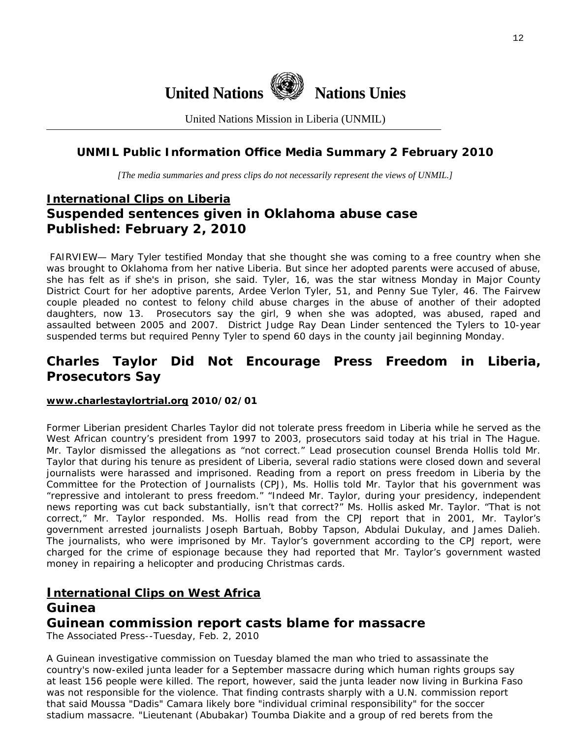

United Nations Mission in Liberia (UNMIL)

## **UNMIL Public Information Office Media Summary 2 February 2010**

*[The media summaries and press clips do not necessarily represent the views of UNMIL.]* 

## **International Clips on Liberia Suspended sentences given in Oklahoma abuse case Published: February 2, 2010**

 FAIRVIEW— Mary Tyler testified Monday that she thought she was coming to a free country when she was brought to Oklahoma from her native Liberia. But since her adopted parents were accused of abuse, she has felt as if she's in prison, she said. Tyler, 16, was the star witness Monday in Major County District Court for her adoptive parents, Ardee Verlon Tyler, 51, and Penny Sue Tyler, 46. The Fairvew couple pleaded no contest to felony child abuse charges in the abuse of another of their adopted daughters, now 13. Prosecutors say the girl, 9 when she was adopted, was abused, raped and assaulted between 2005 and 2007. District Judge Ray Dean Linder sentenced the Tylers to 10-year suspended terms but required Penny Tyler to spend 60 days in the county jail beginning Monday.

## **Charles Taylor Did Not Encourage Press Freedom in Liberia, Prosecutors Say**

#### **[www.charlestaylortrial.org](http://www.charlestaylortrial.org/) 2010/02/01**

Former Liberian president Charles Taylor did not tolerate press freedom in Liberia while he served as the West African country's president from 1997 to 2003, prosecutors said today at his trial in The Hague. Mr. Taylor dismissed the allegations as "not correct." Lead prosecution counsel Brenda Hollis told Mr. Taylor that during his tenure as president of Liberia, several radio stations were closed down and several journalists were harassed and imprisoned. Reading from a report on press freedom in Liberia by the Committee for the Protection of Journalists (CPJ), Ms. Hollis told Mr. Taylor that his government was "repressive and intolerant to press freedom." "Indeed Mr. Taylor, during your presidency, independent news reporting was cut back substantially, isn't that correct?" Ms. Hollis asked Mr. Taylor. "That is not correct," Mr. Taylor responded. Ms. Hollis read from the CPJ report that in 2001, Mr. Taylor's government arrested journalists Joseph Bartuah, Bobby Tapson, Abdulai Dukulay, and James Dalieh. The journalists, who were imprisoned by Mr. Taylor's government according to the CPJ report, were charged for the crime of espionage because they had reported that Mr. Taylor's government wasted money in repairing a helicopter and producing Christmas cards.

# **International Clips on West Africa**

## **Guinea**

## **Guinean commission report casts blame for massacre**

The Associated Press--Tuesday, Feb. 2, 2010

A Guinean investigative commission on Tuesday blamed the man who tried to assassinate the country's now-exiled junta leader for a September massacre during which human rights groups say at least 156 people were killed. The report, however, said the junta leader now living in Burkina Faso was not responsible for the violence. That finding contrasts sharply with a U.N. commission report that said Moussa "Dadis" Camara likely bore "individual criminal responsibility" for the soccer stadium massacre. "Lieutenant (Abubakar) Toumba Diakite and a group of red berets from the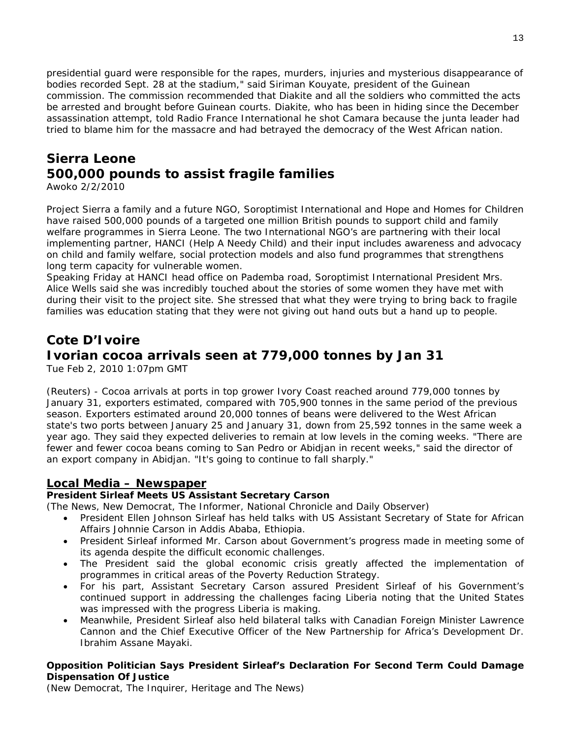presidential guard were responsible for the rapes, murders, injuries and mysterious disappearance of bodies recorded Sept. 28 at the stadium," said Siriman Kouyate, president of the Guinean commission. The commission recommended that Diakite and all the soldiers who committed the acts be arrested and brought before Guinean courts. Diakite, who has been in hiding since the December assassination attempt, told Radio France International he shot Camara because the junta leader had tried to blame him for the massacre and had betrayed the democracy of the West African nation.

# **Sierra Leone 500,000 pounds to assist fragile families**

Awoko 2/2/2010

Project Sierra a family and a future NGO, Soroptimist International and Hope and Homes for Children have raised 500,000 pounds of a targeted one million British pounds to support child and family welfare programmes in Sierra Leone. The two International NGO's are partnering with their local implementing partner, HANCI (Help A Needy Child) and their input includes awareness and advocacy on child and family welfare, social protection models and also fund programmes that strengthens long term capacity for vulnerable women.

Speaking Friday at HANCI head office on Pademba road, Soroptimist International President Mrs. Alice Wells said she was incredibly touched about the stories of some women they have met with during their visit to the project site. She stressed that what they were trying to bring back to fragile families was education stating that they were not giving out hand outs but a hand up to people.

## **Cote D'Ivoire**

## **Ivorian cocoa arrivals seen at 779,000 tonnes by Jan 31**

Tue Feb 2, 2010 1:07pm GMT

(Reuters) - Cocoa arrivals at ports in top grower Ivory Coast reached around 779,000 tonnes by January 31, exporters estimated, compared with 705,900 tonnes in the same period of the previous season. Exporters estimated around 20,000 tonnes of beans were delivered to the West African state's two ports between January 25 and January 31, down from 25,592 tonnes in the same week a year ago. They said they expected deliveries to remain at low levels in the coming weeks. "There are fewer and fewer cocoa beans coming to San Pedro or Abidjan in recent weeks," said the director of an export company in Abidjan. "It's going to continue to fall sharply."

## **Local Media – Newspaper**

## **President Sirleaf Meets US Assistant Secretary Carson**

(The News, New Democrat, The Informer, National Chronicle and Daily Observer)

- President Ellen Johnson Sirleaf has held talks with US Assistant Secretary of State for African Affairs Johnnie Carson in Addis Ababa, Ethiopia.
- President Sirleaf informed Mr. Carson about Government's progress made in meeting some of its agenda despite the difficult economic challenges.
- The President said the global economic crisis greatly affected the implementation of programmes in critical areas of the Poverty Reduction Strategy.
- For his part, Assistant Secretary Carson assured President Sirleaf of his Government's continued support in addressing the challenges facing Liberia noting that the United States was impressed with the progress Liberia is making.
- Meanwhile, President Sirleaf also held bilateral talks with Canadian Foreign Minister Lawrence Cannon and the Chief Executive Officer of the New Partnership for Africa's Development Dr. Ibrahim Assane Mayaki.

#### **Opposition Politician Says President Sirleaf's Declaration For Second Term Could Damage Dispensation Of Justice**

(New Democrat, The Inquirer, Heritage and The News)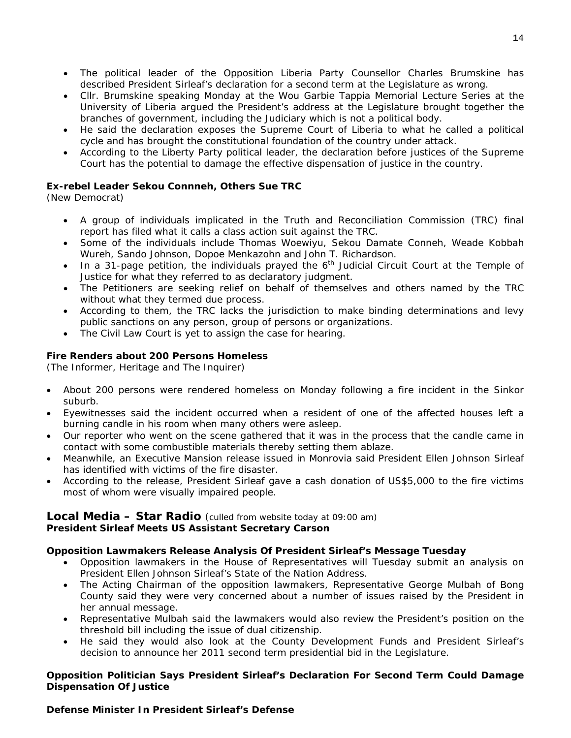- The political leader of the Opposition Liberia Party Counsellor Charles Brumskine has described President Sirleaf's declaration for a second term at the Legislature as wrong.
- Cllr. Brumskine speaking Monday at the Wou Garbie Tappia Memorial Lecture Series at the University of Liberia argued the President's address at the Legislature brought together the branches of government, including the Judiciary which is not a political body.
- He said the declaration exposes the Supreme Court of Liberia to what he called a political cycle and has brought the constitutional foundation of the country under attack.
- According to the Liberty Party political leader, the declaration before justices of the Supreme Court has the potential to damage the effective dispensation of justice in the country.

## **Ex-rebel Leader Sekou Connneh, Others Sue TRC**

(New Democrat)

- A group of individuals implicated in the Truth and Reconciliation Commission (TRC) final report has filed what it calls a class action suit against the TRC.
- Some of the individuals include Thomas Woewiyu, Sekou Damate Conneh, Weade Kobbah Wureh, Sando Johnson, Dopoe Menkazohn and John T. Richardson.
- In a 31-page petition, the individuals prayed the  $6<sup>th</sup>$  Judicial Circuit Court at the Temple of Justice for what they referred to as declaratory judgment.
- The Petitioners are seeking relief on behalf of themselves and others named by the TRC without what they termed due process.
- According to them, the TRC lacks the jurisdiction to make binding determinations and levy public sanctions on any person, group of persons or organizations.
- The Civil Law Court is yet to assign the case for hearing.

## **Fire Renders about 200 Persons Homeless**

(The Informer, Heritage and The Inquirer)

- About 200 persons were rendered homeless on Monday following a fire incident in the Sinkor suburb.
- Eyewitnesses said the incident occurred when a resident of one of the affected houses left a burning candle in his room when many others were asleep.
- Our reporter who went on the scene gathered that it was in the process that the candle came in contact with some combustible materials thereby setting them ablaze.
- Meanwhile, an Executive Mansion release issued in Monrovia said President Ellen Johnson Sirleaf has identified with victims of the fire disaster.
- According to the release, President Sirleaf gave a cash donation of US\$5,000 to the fire victims most of whom were visually impaired people.

## **Local Media – Star Radio** *(culled from website today at 09:00 am)*  **President Sirleaf Meets US Assistant Secretary Carson**

## **Opposition Lawmakers Release Analysis Of President Sirleaf's Message Tuesday**

- Opposition lawmakers in the House of Representatives will Tuesday submit an analysis on President Ellen Johnson Sirleaf's State of the Nation Address.
- The Acting Chairman of the opposition lawmakers, Representative George Mulbah of Bong County said they were very concerned about a number of issues raised by the President in her annual message.
- Representative Mulbah said the lawmakers would also review the President's position on the threshold bill including the issue of dual citizenship.
- He said they would also look at the County Development Funds and President Sirleaf's decision to announce her 2011 second term presidential bid in the Legislature.

#### **Opposition Politician Says President Sirleaf's Declaration For Second Term Could Damage Dispensation Of Justice**

## **Defense Minister In President Sirleaf's Defense**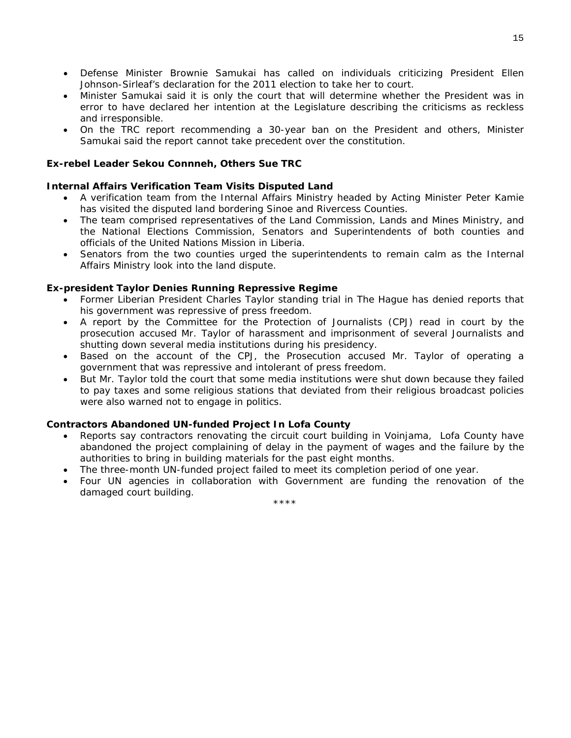- Defense Minister Brownie Samukai has called on individuals criticizing President Ellen Johnson-Sirleaf's declaration for the 2011 election to take her to court.
- Minister Samukai said it is only the court that will determine whether the President was in error to have declared her intention at the Legislature describing the criticisms as reckless and irresponsible.
- On the TRC report recommending a 30-year ban on the President and others, Minister Samukai said the report cannot take precedent over the constitution.

#### **Ex-rebel Leader Sekou Connneh, Others Sue TRC**

#### **Internal Affairs Verification Team Visits Disputed Land**

- A verification team from the Internal Affairs Ministry headed by Acting Minister Peter Kamie has visited the disputed land bordering Sinoe and Rivercess Counties.
- The team comprised representatives of the Land Commission, Lands and Mines Ministry, and the National Elections Commission, Senators and Superintendents of both counties and officials of the United Nations Mission in Liberia.
- Senators from the two counties urged the superintendents to remain calm as the Internal Affairs Ministry look into the land dispute.

#### **Ex-president Taylor Denies Running Repressive Regime**

- Former Liberian President Charles Taylor standing trial in The Hague has denied reports that his government was repressive of press freedom.
- A report by the Committee for the Protection of Journalists (CPJ) read in court by the prosecution accused Mr. Taylor of harassment and imprisonment of several Journalists and shutting down several media institutions during his presidency.
- Based on the account of the CPJ, the Prosecution accused Mr. Taylor of operating a government that was repressive and intolerant of press freedom.
- But Mr. Taylor told the court that some media institutions were shut down because they failed to pay taxes and some religious stations that deviated from their religious broadcast policies were also warned not to engage in politics.

#### **Contractors Abandoned UN-funded Project In Lofa County**

- Reports say contractors renovating the circuit court building in Voinjama, Lofa County have abandoned the project complaining of delay in the payment of wages and the failure by the authorities to bring in building materials for the past eight months.
- The three-month UN-funded project failed to meet its completion period of one year.
- Four UN agencies in collaboration with Government are funding the renovation of the damaged court building.

\*\*\*\*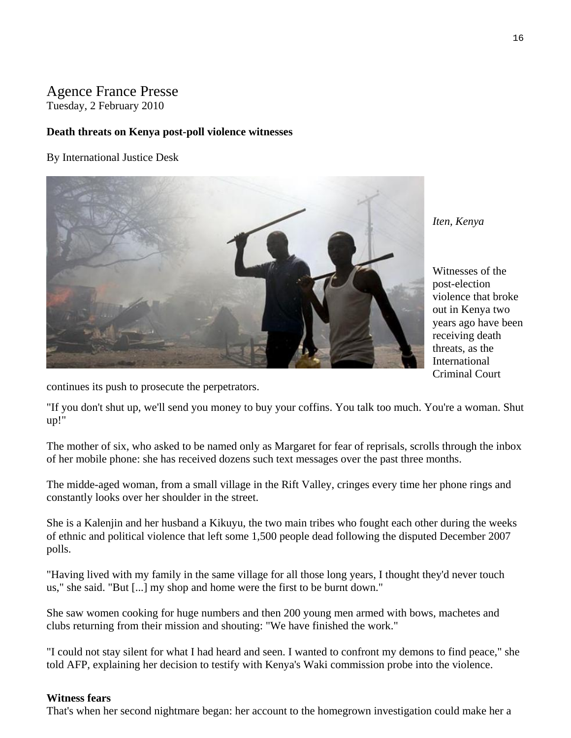## Agence France Presse Tuesday, 2 February 2010

#### **Death threats on Kenya post-poll violence witnesses**

By International Justice Desk



*Iten, Kenya* 

Witnesses of the post-election violence that broke out in Kenya two years ago have b een receiving death threats, as the International Criminal Court

continues its push to prosecute the perpetrators.

"If you don't shut up, we'll send you money to buy your coffins. You talk too much. You're a woman. Shut up!"

The mother of six, who asked to be named only as Margaret for fear of reprisals, scrolls through the inbox of her mobile phone: she has received dozens such text messages over the past three months.

The midde-aged woman, from a small village in the Rift Valley, cringes every time her phone rings and constantly looks over her shoulder in the street.

She is a Kalenjin and her husband a Kikuyu, the two main tribes who fought each other during the weeks of ethnic and political violence that left some 1,500 people dead following the disputed December 2007 polls.

"Having lived with my family in the same village for all those long years, I thought they'd never touch us," she said. "But [...] my shop and home were the first to be burnt down."

She saw women cooking for huge numbers and then 200 young men armed with bows, machetes and clubs returning from their mission and shouting: "We have finished the work."

"I could not stay silent for what I had heard and seen. I wanted to confront my demons to find peace," she told AFP, explaining her decision to testify with Kenya's Waki commission probe into the violence.

#### **Witness fears**

That's when her second nightmare began: her account to the homegrown investigation could make her a